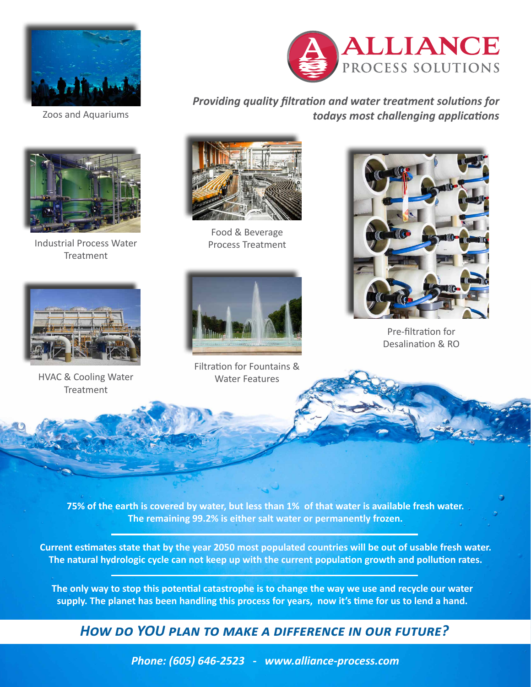



Industrial Process Water Treatment



*Providing quality filtration and water treatment solutions for*  Zoos and Aquariums *todays most challenging applications*



Food & Beverage Process Treatment



Filtration for Fountains & Water Features



Pre-filtration for Desalination & RO



HVAC & Cooling Water Treatment

**75% of the earth is covered by water, but less than 1% of that water is available fresh water. The remaining 99.2% is either salt water or permanently frozen.**

**Current estimates state that by the year 2050 most populated countries will be out of usable fresh water. The natural hydrologic cycle can not keep up with the current population growth and pollution rates.**

**The only way to stop this potential catastrophe is to change the way we use and recycle our water supply. The planet has been handling this process for years, now it's time for us to lend a hand.**

*How do YOU plan to make a difference in our future?*

*Phone: (605) 646-2523 - www.alliance-process.com*